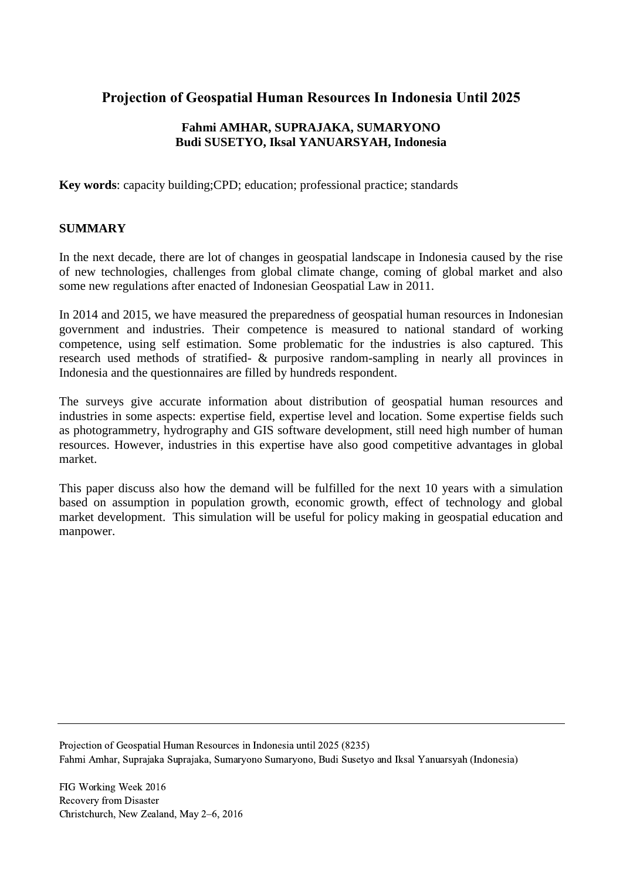# **Projection of Geospatial Human Resources In Indonesia Until 2025**

## **Fahmi AMHAR, SUPRAJAKA, SUMARYONO Budi SUSETYO, Iksal YANUARSYAH, Indonesia**

**Key words**: capacity building;CPD; education; professional practice; standards

## **SUMMARY**

In the next decade, there are lot of changes in geospatial landscape in Indonesia caused by the rise of new technologies, challenges from global climate change, coming of global market and also some new regulations after enacted of Indonesian Geospatial Law in 2011.

In 2014 and 2015, we have measured the preparedness of geospatial human resources in Indonesian government and industries. Their competence is measured to national standard of working competence, using self estimation. Some problematic for the industries is also captured. This research used methods of stratified- & purposive random-sampling in nearly all provinces in Indonesia and the questionnaires are filled by hundreds respondent.

The surveys give accurate information about distribution of geospatial human resources and industries in some aspects: expertise field, expertise level and location. Some expertise fields such as photogrammetry, hydrography and GIS software development, still need high number of human resources. However, industries in this expertise have also good competitive advantages in global market.

This paper discuss also how the demand will be fulfilled for the next 10 years with a simulation based on assumption in population growth, economic growth, effect of technology and global market development. This simulation will be useful for policy making in geospatial education and manpower.

Projection of Geospatial Human Resources in Indonesia until 2025 (8235) Fahmi Amhar, Suprajaka Suprajaka, Sumaryono Sumaryono, Budi Susetyo and Iksal Yanuarsyah (Indonesia)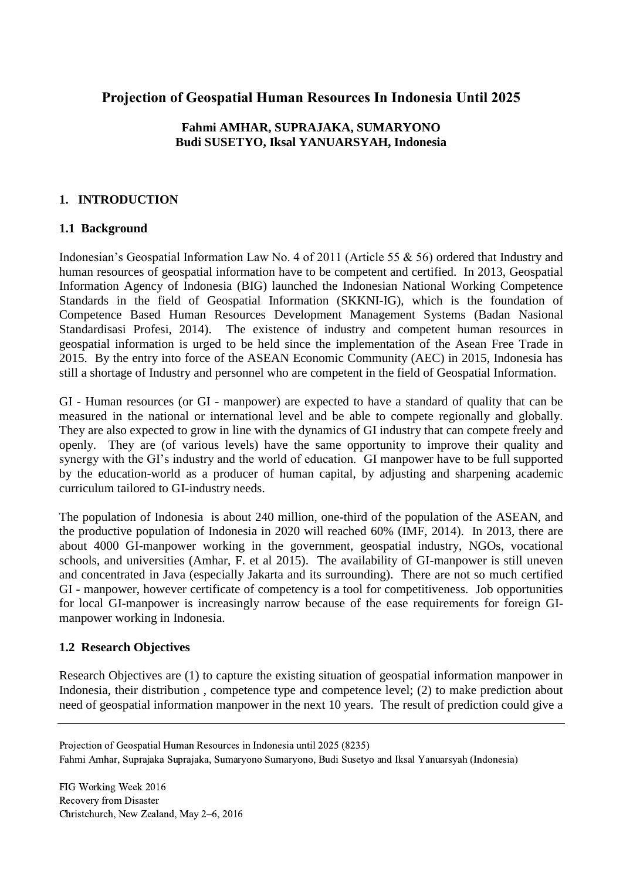## **Projection of Geospatial Human Resources In Indonesia Until 2025**

## **Fahmi AMHAR, SUPRAJAKA, SUMARYONO Budi SUSETYO, Iksal YANUARSYAH, Indonesia**

## **1. INTRODUCTION**

### **1.1 Background**

Indonesian's Geospatial Information Law No. 4 of 2011 (Article 55 & 56) ordered that Industry and human resources of geospatial information have to be competent and certified. In 2013, Geospatial Information Agency of Indonesia (BIG) launched the Indonesian National Working Competence Standards in the field of Geospatial Information (SKKNI-IG), which is the foundation of Competence Based Human Resources Development Management Systems (Badan Nasional Standardisasi Profesi, 2014). The existence of industry and competent human resources in geospatial information is urged to be held since the implementation of the Asean Free Trade in 2015. By the entry into force of the ASEAN Economic Community (AEC) in 2015, Indonesia has still a shortage of Industry and personnel who are competent in the field of Geospatial Information.

GI - Human resources (or GI - manpower) are expected to have a standard of quality that can be measured in the national or international level and be able to compete regionally and globally. They are also expected to grow in line with the dynamics of GI industry that can compete freely and openly. They are (of various levels) have the same opportunity to improve their quality and synergy with the GI's industry and the world of education. GI manpower have to be full supported by the education-world as a producer of human capital, by adjusting and sharpening academic curriculum tailored to GI-industry needs.

The population of Indonesia is about 240 million, one-third of the population of the ASEAN, and the productive population of Indonesia in 2020 will reached 60% (IMF, 2014). In 2013, there are about 4000 GI-manpower working in the government, geospatial industry, NGOs, vocational schools, and universities (Amhar, F. et al 2015). The availability of GI-manpower is still uneven and concentrated in Java (especially Jakarta and its surrounding). There are not so much certified GI - manpower, however certificate of competency is a tool for competitiveness. Job opportunities for local GI-manpower is increasingly narrow because of the ease requirements for foreign GImanpower working in Indonesia.

## **1.2 Research Objectives**

Research Objectives are (1) to capture the existing situation of geospatial information manpower in Indonesia, their distribution , competence type and competence level; (2) to make prediction about need of geospatial information manpower in the next 10 years. The result of prediction could give a

Projection of Geospatial Human Resources in Indonesia until 2025 (8235)

Fahmi Amhar, Suprajaka Suprajaka, Sumaryono Sumaryono, Budi Susetyo and Iksal Yanuarsyah (Indonesia)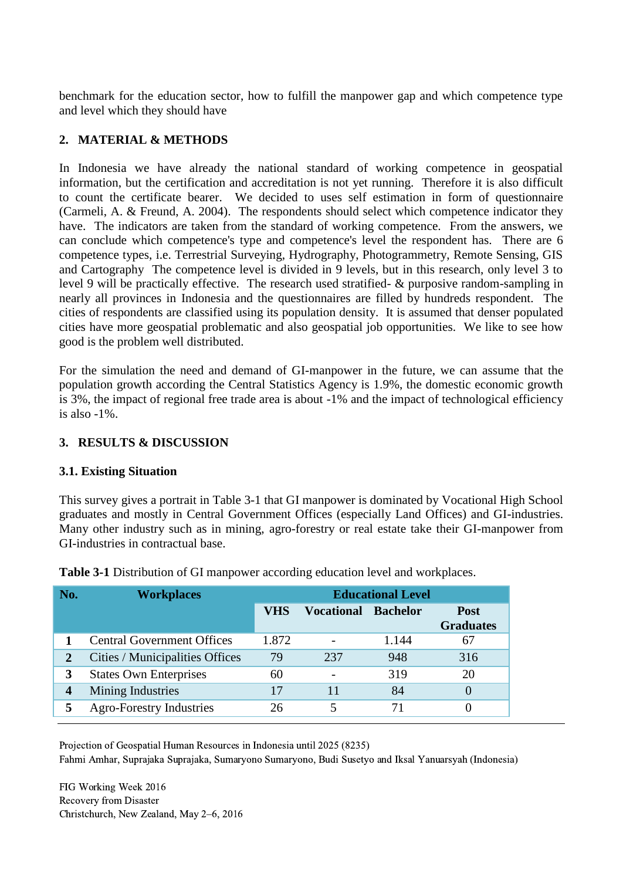benchmark for the education sector, how to fulfill the manpower gap and which competence type and level which they should have

## **2. MATERIAL & METHODS**

In Indonesia we have already the national standard of working competence in geospatial information, but the certification and accreditation is not yet running. Therefore it is also difficult to count the certificate bearer. We decided to uses self estimation in form of questionnaire (Carmeli, A. & Freund, A. 2004). The respondents should select which competence indicator they have. The indicators are taken from the standard of working competence. From the answers, we can conclude which competence's type and competence's level the respondent has. There are 6 competence types, i.e. Terrestrial Surveying, Hydrography, Photogrammetry, Remote Sensing, GIS and Cartography The competence level is divided in 9 levels, but in this research, only level 3 to level 9 will be practically effective. The research used stratified- & purposive random-sampling in nearly all provinces in Indonesia and the questionnaires are filled by hundreds respondent. The cities of respondents are classified using its population density. It is assumed that denser populated cities have more geospatial problematic and also geospatial job opportunities. We like to see how good is the problem well distributed.

For the simulation the need and demand of GI-manpower in the future, we can assume that the population growth according the Central Statistics Agency is 1.9%, the domestic economic growth is 3%, the impact of regional free trade area is about -1% and the impact of technological efficiency is also -1%.

## **3. RESULTS & DISCUSSION**

## **3.1. Existing Situation**

This survey gives a portrait in Table 3-1 that GI manpower is dominated by Vocational High School graduates and mostly in Central Government Offices (especially Land Offices) and GI-industries. Many other industry such as in mining, agro-forestry or real estate take their GI-manpower from GI-industries in contractual base.

| <b>Workplaces</b> | <b>Educational Level</b>                                                                                                                                      |     |       |                                 |  |  |  |  |
|-------------------|---------------------------------------------------------------------------------------------------------------------------------------------------------------|-----|-------|---------------------------------|--|--|--|--|
|                   | <b>VHS</b>                                                                                                                                                    |     |       | <b>Post</b><br><b>Graduates</b> |  |  |  |  |
|                   | 1.872                                                                                                                                                         |     | 1.144 | 67                              |  |  |  |  |
|                   | 79                                                                                                                                                            | 237 | 948   | 316                             |  |  |  |  |
|                   | 60                                                                                                                                                            |     | 319   | 20                              |  |  |  |  |
|                   | 17                                                                                                                                                            | 11  | 84    | $\theta$                        |  |  |  |  |
|                   | 26                                                                                                                                                            |     | 71    |                                 |  |  |  |  |
|                   | <b>Central Government Offices</b><br>Cities / Municipalities Offices<br><b>States Own Enterprises</b><br>Mining Industries<br><b>Agro-Forestry Industries</b> |     |       | <b>Vocational Bachelor</b>      |  |  |  |  |

**Table 3-1** Distribution of GI manpower according education level and workplaces.

Projection of Geospatial Human Resources in Indonesia until 2025 (8235)

Fahmi Amhar, Suprajaka Suprajaka, Sumaryono Sumaryono, Budi Susetyo and Iksal Yanuarsyah (Indonesia)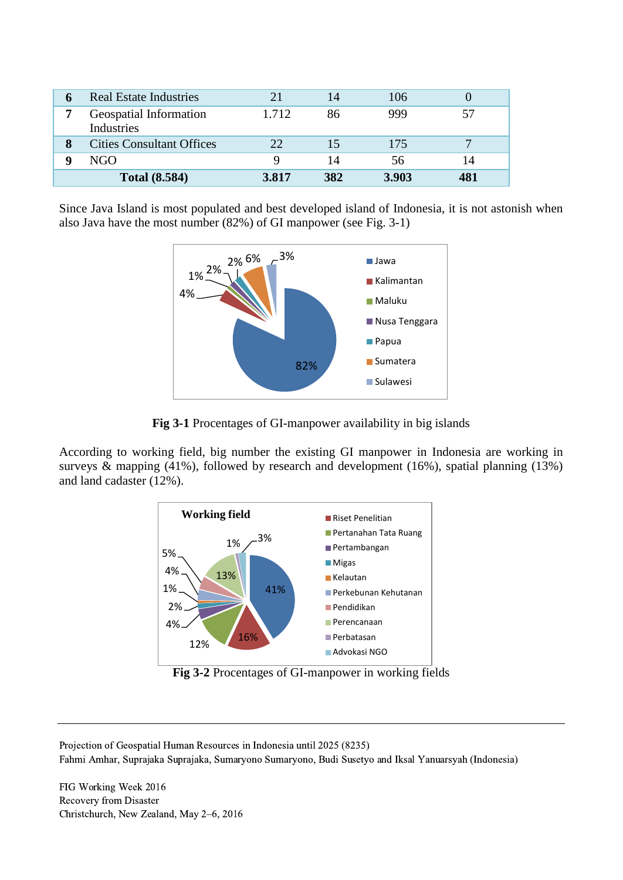| <b>Real Estate Industries</b>        | 21    | 14  | 106   |    |
|--------------------------------------|-------|-----|-------|----|
| Geospatial Information<br>Industries | 1.712 | 86  | 999   |    |
| <b>Cities Consultant Offices</b>     | つつ    |     | 175   |    |
| NGO                                  |       | 14  | 56    | 14 |
| <b>Total (8.584)</b>                 | 3.817 | 382 | 3.903 |    |

Since Java Island is most populated and best developed island of Indonesia, it is not astonish when also Java have the most number (82%) of GI manpower (see Fig. 3-1)



**Fig 3-1** Procentages of GI-manpower availability in big islands

According to working field, big number the existing GI manpower in Indonesia are working in surveys & mapping (41%), followed by research and development (16%), spatial planning (13%) and land cadaster (12%).



**Fig 3-2** Procentages of GI-manpower in working fields

Projection of Geospatial Human Resources in Indonesia until 2025 (8235) Fahmi Amhar, Suprajaka Suprajaka, Sumaryono Sumaryono, Budi Susetyo and Iksal Yanuarsyah (Indonesia)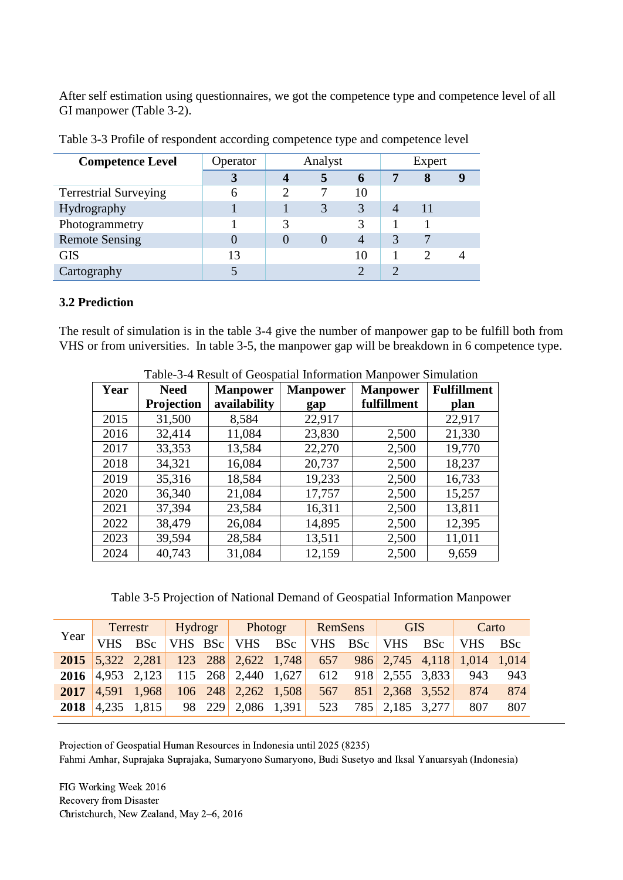After self estimation using questionnaires, we got the competence type and competence level of all GI manpower (Table 3-2).

| <b>Competence Level</b>      | Operator | Analyst |          |                | Expert         |   |  |
|------------------------------|----------|---------|----------|----------------|----------------|---|--|
|                              |          |         | 5        | $\mathbf b$    |                | 8 |  |
| <b>Terrestrial Surveying</b> |          |         |          | 10             |                |   |  |
| Hydrography                  |          |         | 3        | 3              | $\overline{4}$ |   |  |
| Photogrammetry               |          | 3       |          |                |                |   |  |
| <b>Remote Sensing</b>        |          |         | $\theta$ | $\overline{4}$ | 3              |   |  |
| <b>GIS</b>                   | 13       |         |          | 10             |                |   |  |
| Cartography                  |          |         |          |                | ി              |   |  |

Table 3-3 Profile of respondent according competence type and competence level

#### **3.2 Prediction**

The result of simulation is in the table 3-4 give the number of manpower gap to be fulfill both from VHS or from universities. In table 3-5, the manpower gap will be breakdown in 6 competence type.

|      | raoic o Tricogn or Ocoopana miorimation manpower omnumion |                 |                 |                 |                    |  |  |  |  |  |  |
|------|-----------------------------------------------------------|-----------------|-----------------|-----------------|--------------------|--|--|--|--|--|--|
| Year | <b>Need</b>                                               | <b>Manpower</b> | <b>Manpower</b> | <b>Manpower</b> | <b>Fulfillment</b> |  |  |  |  |  |  |
|      | <b>Projection</b>                                         | availability    | gap             | fulfillment     | plan               |  |  |  |  |  |  |
| 2015 | 31,500                                                    | 8,584           | 22,917          |                 | 22,917             |  |  |  |  |  |  |
| 2016 | 32,414                                                    | 11,084          | 23,830          | 2,500           | 21,330             |  |  |  |  |  |  |
| 2017 | 33,353                                                    | 13,584          | 22,270          | 2,500           | 19,770             |  |  |  |  |  |  |
| 2018 | 34,321                                                    | 16,084          | 20,737          | 2,500           | 18,237             |  |  |  |  |  |  |
| 2019 | 35,316                                                    | 18,584          | 19,233          | 2,500           | 16,733             |  |  |  |  |  |  |
| 2020 | 36,340                                                    | 21,084          | 17,757          | 2,500           | 15,257             |  |  |  |  |  |  |
| 2021 | 37,394                                                    | 23,584          | 16,311          | 2,500           | 13,811             |  |  |  |  |  |  |
| 2022 | 38,479                                                    | 26,084          | 14,895          | 2,500           | 12,395             |  |  |  |  |  |  |
| 2023 | 39,594                                                    | 28,584          | 13,511          | 2,500           | 11,011             |  |  |  |  |  |  |
| 2024 | 40,743                                                    | 31,084          | 12,159          | 2,500           | 9,659              |  |  |  |  |  |  |

Table-3-4 Result of Geospatial Information Manpower Simulation

Table 3-5 Projection of National Demand of Geospatial Information Manpower

|              | Terrestr   |                       | Hydrogr |  | Photogr                                                              |  | RemSens |  | <b>GIS</b>          |  | Carto                   |     |
|--------------|------------|-----------------------|---------|--|----------------------------------------------------------------------|--|---------|--|---------------------|--|-------------------------|-----|
| Year $\vert$ | <b>VHS</b> | <b>BSc</b>            |         |  | VHS BSc VHS BSc                                                      |  |         |  |                     |  | VHS BSc VHS BSc VHS BSc |     |
|              |            |                       |         |  | 2015 5,322 2,281 123 288 2,622 1,748 657 986 2,745 4,118 1,014 1,014 |  |         |  |                     |  |                         |     |
|              |            |                       |         |  | 2016 4.953 2.123 115 268 2.440 1.627 612 918 2.555 3.833             |  |         |  |                     |  | 943                     | 943 |
| 2017         |            | $ 4,591 \t1.968 $     |         |  | $106 \quad 248 \quad 2,262 \quad 1,508 \quad 567$                    |  |         |  | 851 2,368 3,552     |  | 874                     | 874 |
| 2018         |            | $ 4,235 \quad 1,815 $ |         |  | 98 229 2,086 1,391                                                   |  |         |  | 523 785 2,185 3,277 |  | 807                     | 807 |

Projection of Geospatial Human Resources in Indonesia until 2025 (8235)

Fahmi Amhar, Suprajaka Suprajaka, Sumaryono Sumaryono, Budi Susetyo and Iksal Yanuarsyah (Indonesia)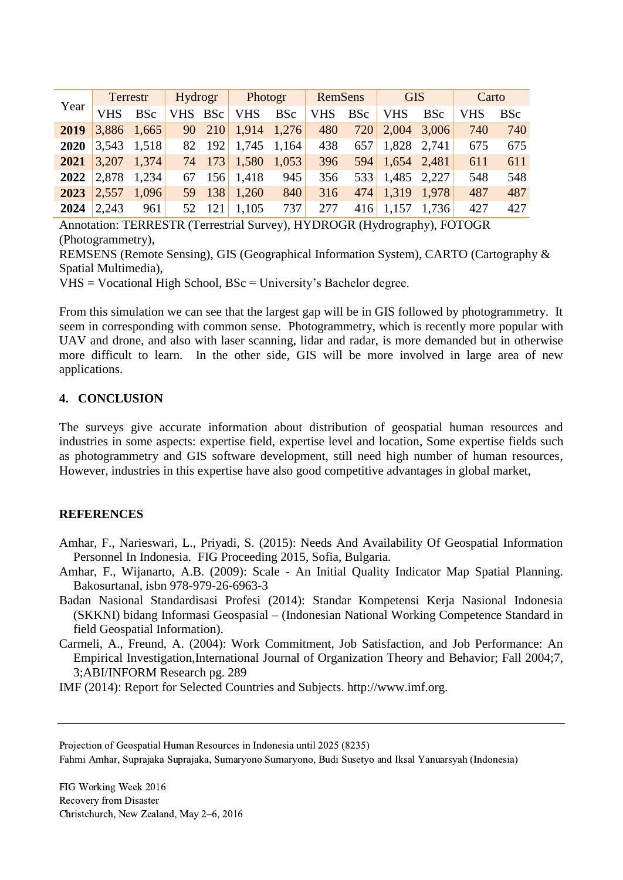|      | Terrestr   |               | Hydrogr |        | Photogr            |            | RemSens    |            | <b>GIS</b>      |            | Carto      |            |
|------|------------|---------------|---------|--------|--------------------|------------|------------|------------|-----------------|------------|------------|------------|
| Year | <b>VHS</b> | <b>BSc</b>    | VHS BSc |        | <b>VHS</b>         | <b>BSc</b> | <b>VHS</b> | <b>BSc</b> | <b>VHS</b>      | <b>BSc</b> | <b>VHS</b> | <b>BSc</b> |
| 2019 |            | $3,886$ 1,665 |         |        | 90 210 1,914 1,276 |            | 480        |            | 720 2,004 3,006 |            | 740        | 740        |
| 2020 | 3,543      | 1,518         |         | 82 192 | $1,745$ 1,164      |            | 438        | 657        | 1,828 2,741     |            | 675        | 675        |
| 2021 | 3,207      | 1,374         |         |        | 74 173 1,580       | 1,053      | 396        |            | 594 1,654 2,481 |            | 611        | 611        |
| 2022 | 2,878      | 1,234         |         |        | 67 156 1,418       | 945        | 356        |            | 533 1,485 2,227 |            | 548        | 548        |
| 2023 | 2,557      | 1,096         |         | 59 138 | 1,260              | 840        | 316        |            | 474 1.319 1.978 |            | 487        | 487        |
| 2024 | 2,243      | 961           |         | 52 121 | 1,105              | 737        | 277        |            | 416 1,157 1,736 |            | 427        | 427        |

Annotation: TERRESTR (Terrestrial Survey), HYDROGR (Hydrography), FOTOGR (Photogrammetry),

REMSENS (Remote Sensing), GIS (Geographical Information System), CARTO (Cartography & Spatial Multimedia),

 $VHS = Voca$ tional High School, BSc = University's Bachelor degree.

From this simulation we can see that the largest gap will be in GIS followed by photogrammetry. It seem in corresponding with common sense. Photogrammetry, which is recently more popular with UAV and drone, and also with laser scanning, lidar and radar, is more demanded but in otherwise more difficult to learn. In the other side, GIS will be more involved in large area of new applications.

#### **4. CONCLUSION**

The surveys give accurate information about distribution of geospatial human resources and industries in some aspects: expertise field, expertise level and location, Some expertise fields such as photogrammetry and GIS software development, still need high number of human resources, However, industries in this expertise have also good competitive advantages in global market,

## **REFERENCES**

- Amhar, F., Narieswari, L., Priyadi, S. (2015): Needs And Availability Of Geospatial Information Personnel In Indonesia. FIG Proceeding 2015, Sofia, Bulgaria.
- Amhar, F., Wijanarto, A.B. (2009): Scale An Initial Quality Indicator Map Spatial Planning. Bakosurtanal, isbn 978-979-26-6963-3
- Badan Nasional Standardisasi Profesi (2014): Standar Kompetensi Kerja Nasional Indonesia (SKKNI) bidang Informasi Geospasial – (Indonesian National Working Competence Standard in field Geospatial Information).
- Carmeli, A., Freund, A. (2004): Work Commitment, Job Satisfaction, and Job Performance: An Empirical Investigation,International Journal of Organization Theory and Behavior; Fall 2004;7, 3;ABI/INFORM Research pg. 289

IMF (2014): Report for Selected Countries and Subjects. http://www.imf.org.

Projection of Geospatial Human Resources in Indonesia until 2025 (8235)

Fahmi Amhar, Suprajaka Suprajaka, Sumaryono Sumaryono, Budi Susetyo and Iksal Yanuarsyah (Indonesia)